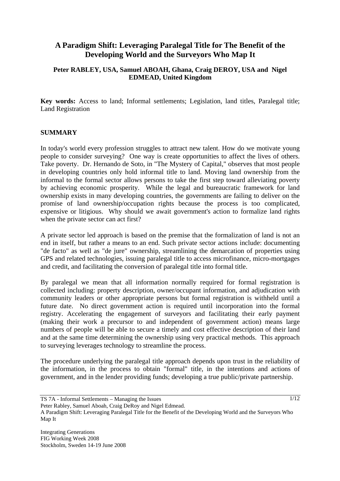# **A Paradigm Shift: Leveraging Paralegal Title for The Benefit of the Developing World and the Surveyors Who Map It**

## **Peter RABLEY, USA, Samuel ABOAH, Ghana, Craig DEROY, USA and Nigel EDMEAD, United Kingdom**

**Key words:** Access to land; Informal settlements; Legislation, land titles, Paralegal title; Land Registration

#### **SUMMARY**

In today's world every profession struggles to attract new talent. How do we motivate young people to consider surveying? One way is create opportunities to affect the lives of others. Take poverty. Dr. Hernando de Soto, in "The Mystery of Capital," observes that most people in developing countries only hold informal title to land. Moving land ownership from the informal to the formal sector allows persons to take the first step toward alleviating poverty by achieving economic prosperity. While the legal and bureaucratic framework for land ownership exists in many developing countries, the governments are failing to deliver on the promise of land ownership/occupation rights because the process is too complicated, expensive or litigious. Why should we await government's action to formalize land rights when the private sector can act first?

A private sector led approach is based on the premise that the formalization of land is not an end in itself, but rather a means to an end. Such private sector actions include: documenting "de facto" as well as "de jure" ownership, streamlining the demarcation of properties using GPS and related technologies, issuing paralegal title to access microfinance, micro-mortgages and credit, and facilitating the conversion of paralegal title into formal title.

By paralegal we mean that all information normally required for formal registration is collected including: property description, owner/occupant information, and adjudication with community leaders or other appropriate persons but formal registration is withheld until a future date. No direct government action is required until incorporation into the formal registry. Accelerating the engagement of surveyors and facilitating their early payment (making their work a precursor to and independent of government action) means large numbers of people will be able to secure a timely and cost effective description of their land and at the same time determining the ownership using very practical methods. This approach to surveying leverages technology to streamline the process.

The procedure underlying the paralegal title approach depends upon trust in the reliability of the information, in the process to obtain "formal" title, in the intentions and actions of government, and in the lender providing funds; developing a true public/private partnership.

TS 7A - Informal Settlements – Managing the Issues

Peter Rabley, Samuel Aboah, Craig DeRoy and Nigel Edmead.

A Paradigm Shift: Leveraging Paralegal Title for the Benefit of the Developing World and the Surveyors Who Map It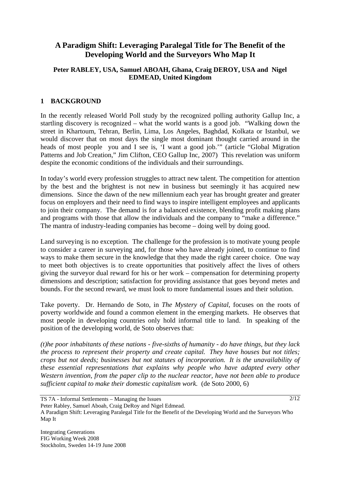# **A Paradigm Shift: Leveraging Paralegal Title for The Benefit of the Developing World and the Surveyors Who Map It**

## **Peter RABLEY, USA, Samuel ABOAH, Ghana, Craig DEROY, USA and Nigel EDMEAD, United Kingdom**

## **1 BACKGROUND**

In the recently released World Poll study by the recognized polling authority Gallup Inc, a startling discovery is recognized – what the world wants is a good job. "Walking down the street in Khartoum, Tehran, Berlin, Lima, Los Angeles, Baghdad, Kolkata or Istanbul, we would discover that on most days the single most dominant thought carried around in the heads of most people you and I see is, 'I want a good job.'" (article "Global Migration Patterns and Job Creation," Jim Clifton, CEO Gallup Inc, 2007) This revelation was uniform despite the economic conditions of the individuals and their surroundings.

In today's world every profession struggles to attract new talent. The competition for attention by the best and the brightest is not new in business but seemingly it has acquired new dimensions. Since the dawn of the new millennium each year has brought greater and greater focus on employers and their need to find ways to inspire intelligent employees and applicants to join their company. The demand is for a balanced existence, blending profit making plans and programs with those that allow the individuals and the company to "make a difference." The mantra of industry-leading companies has become – doing well by doing good.

Land surveying is no exception. The challenge for the profession is to motivate young people to consider a career in surveying and, for those who have already joined, to continue to find ways to make them secure in the knowledge that they made the right career choice. One way to meet both objectives is to create opportunities that positively affect the lives of others giving the surveyor dual reward for his or her work – compensation for determining property dimensions and description; satisfaction for providing assistance that goes beyond metes and bounds. For the second reward, we must look to more fundamental issues and their solution.

Take poverty. Dr. Hernando de Soto, in *The Mystery of Capital*, focuses on the roots of poverty worldwide and found a common element in the emerging markets. He observes that most people in developing countries only hold informal title to land. In speaking of the position of the developing world, de Soto observes that:

*(t)he poor inhabitants of these nations - five-sixths of humanity - do have things, but they lack the process to represent their property and create capital. They have houses but not titles; crops but not deeds; businesses but not statutes of incorporation. It is the unavailability of these essential representations that explains why people who have adapted every other Western invention, from the paper clip to the nuclear reactor, have not been able to produce sufficient capital to make their domestic capitalism work.* (de Soto 2000, 6)

TS 7A - Informal Settlements – Managing the Issues

 $\sqrt{2/12}$ 

Peter Rabley, Samuel Aboah, Craig DeRoy and Nigel Edmead.

A Paradigm Shift: Leveraging Paralegal Title for the Benefit of the Developing World and the Surveyors Who Map It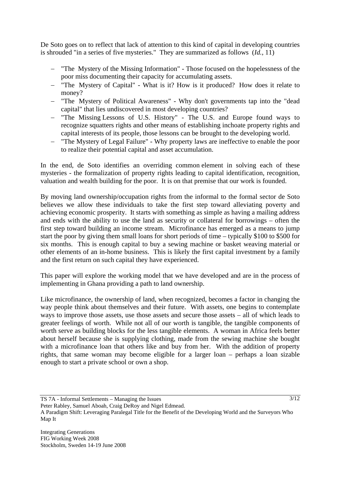De Soto goes on to reflect that lack of attention to this kind of capital in developing countries is shrouded "in a series of five mysteries." They are summarized as follows (*Id.*, 11)

- "The Mystery of the Missing Information" Those focused on the hopelessness of the poor miss documenting their capacity for accumulating assets.
- − "The Mystery of Capital" What is it? How is it produced? How does it relate to money?
- − "The Mystery of Political Awareness" Why don't governments tap into the "dead capital" that lies undiscovered in most developing countries?
- − "The Missing Lessons of U.S. History" The U.S. and Europe found ways to recognize squatters rights and other means of establishing inchoate property rights and capital interests of its people, those lessons can be brought to the developing world.
- "The Mystery of Legal Failure" Why property laws are ineffective to enable the poor to realize their potential capital and asset accumulation.

In the end, de Soto identifies an overriding common element in solving each of these mysteries - the formalization of property rights leading to capital identification, recognition, valuation and wealth building for the poor. It is on that premise that our work is founded.

By moving land ownership/occupation rights from the informal to the formal sector de Soto believes we allow these individuals to take the first step toward alleviating poverty and achieving economic prosperity. It starts with something as simple as having a mailing address and ends with the ability to use the land as security or collateral for borrowings – often the first step toward building an income stream. Microfinance has emerged as a means to jump start the poor by giving them small loans for short periods of time – typically \$100 to \$500 for six months. This is enough capital to buy a sewing machine or basket weaving material or other elements of an in-home business. This is likely the first capital investment by a family and the first return on such capital they have experienced.

This paper will explore the working model that we have developed and are in the process of implementing in Ghana providing a path to land ownership.

Like microfinance, the ownership of land, when recognized, becomes a factor in changing the way people think about themselves and their future. With assets, one begins to contemplate ways to improve those assets, use those assets and secure those assets – all of which leads to greater feelings of worth. While not all of our worth is tangible, the tangible components of worth serve as building blocks for the less tangible elements. A woman in Africa feels better about herself because she is supplying clothing, made from the sewing machine she bought with a microfinance loan that others like and buy from her. With the addition of property rights, that same woman may become eligible for a larger loan – perhaps a loan sizable enough to start a private school or own a shop.

TS 7A - Informal Settlements – Managing the Issues

Peter Rabley, Samuel Aboah, Craig DeRoy and Nigel Edmead.

A Paradigm Shift: Leveraging Paralegal Title for the Benefit of the Developing World and the Surveyors Who Map It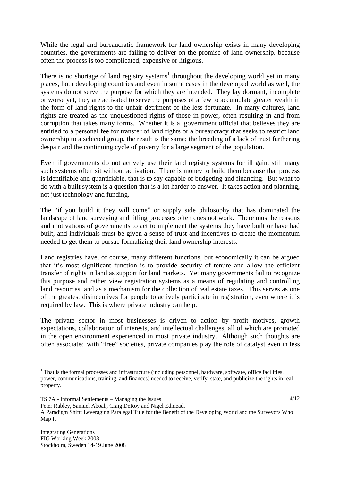While the legal and bureaucratic framework for land ownership exists in many developing countries, the governments are failing to deliver on the promise of land ownership, because often the process is too complicated, expensive or litigious.

There is no shortage of land registry systems<sup>1</sup> throughout the developing world yet in many places, both developing countries and even in some cases in the developed world as well, the systems do not serve the purpose for which they are intended. They lay dormant, incomplete or worse yet, they are activated to serve the purposes of a few to accumulate greater wealth in the form of land rights to the unfair detriment of the less fortunate. In many cultures, land rights are treated as the unquestioned rights of those in power, often resulting in and from corruption that takes many forms. Whether it is a government official that believes they are entitled to a personal fee for transfer of land rights or a bureaucracy that seeks to restrict land ownership to a selected group, the result is the same; the breeding of a lack of trust furthering despair and the continuing cycle of poverty for a large segment of the population.

Even if governments do not actively use their land registry systems for ill gain, still many such systems often sit without activation. There is money to build them because that process is identifiable and quantifiable, that is to say capable of budgeting and financing. But what to do with a built system is a question that is a lot harder to answer. It takes action and planning, not just technology and funding.

The "if you build it they will come" or supply side philosophy that has dominated the landscape of land surveying and titling processes often does not work. There must be reasons and motivations of governments to act to implement the systems they have built or have had built, and individuals must be given a sense of trust and incentives to create the momentum needed to get them to pursue formalizing their land ownership interests.

Land registries have, of course, many different functions, but economically it can be argued that it's most significant function is to provide security of tenure and allow the efficient transfer of rights in land as support for land markets. Yet many governments fail to recognize this purpose and rather view registration systems as a means of regulating and controlling land resources, and as a mechanism for the collection of real estate taxes. This serves as one of the greatest disincentives for people to actively participate in registration, even where it is required by law. This is where private industry can help.

The private sector in most businesses is driven to action by profit motives, growth expectations, collaboration of interests, and intellectual challenges, all of which are promoted in the open environment experienced in most private industry. Although such thoughts are often associated with "free" societies, private companies play the role of catalyst even in less

<sup>&</sup>lt;sup>1</sup> That is the formal processes and infrastructure (including personnel, hardware, software, office facilities, power, communications, training, and finances) needed to receive, verify, state, and publicize the rights in real property.

TS 7A - Informal Settlements – Managing the Issues

Peter Rabley, Samuel Aboah, Craig DeRoy and Nigel Edmead.

A Paradigm Shift: Leveraging Paralegal Title for the Benefit of the Developing World and the Surveyors Who Map It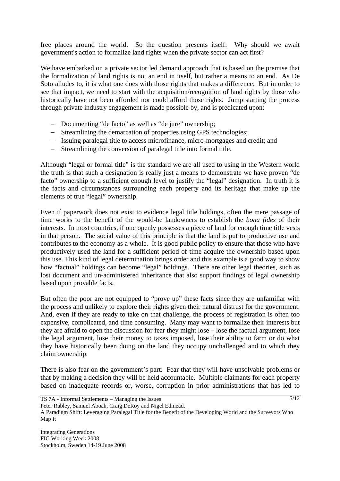free places around the world. So the question presents itself: Why should we await government's action to formalize land rights when the private sector can act first?

We have embarked on a private sector led demand approach that is based on the premise that the formalization of land rights is not an end in itself, but rather a means to an end. As De Soto alludes to, it is what one does with those rights that makes a difference. But in order to see that impact, we need to start with the acquisition/recognition of land rights by those who historically have not been afforded nor could afford those rights. Jump starting the process through private industry engagement is made possible by, and is predicated upon:

- − Documenting "de facto" as well as "de jure" ownership;
- − Streamlining the demarcation of properties using GPS technologies;
- − Issuing paralegal title to access microfinance, micro-mortgages and credit; and
- − Streamlining the conversion of paralegal title into formal title.

Although "legal or formal title" is the standard we are all used to using in the Western world the truth is that such a designation is really just a means to demonstrate we have proven "de facto" ownership to a sufficient enough level to justify the "legal" designation. In truth it is the facts and circumstances surrounding each property and its heritage that make up the elements of true "legal" ownership.

Even if paperwork does not exist to evidence legal title holdings, often the mere passage of time works to the benefit of the would-be landowners to establish the *bona fides* of their interests. In most countries, if one openly possesses a piece of land for enough time title vests in that person. The social value of this principle is that the land is put to productive use and contributes to the economy as a whole. It is good public policy to ensure that those who have productively used the land for a sufficient period of time acquire the ownership based upon this use. This kind of legal determination brings order and this example is a good way to show how "factual" holdings can become "legal" holdings. There are other legal theories, such as lost document and un-administered inheritance that also support findings of legal ownership based upon provable facts.

But often the poor are not equipped to "prove up" these facts since they are unfamiliar with the process and unlikely to explore their rights given their natural distrust for the government. And, even if they are ready to take on that challenge, the process of registration is often too expensive, complicated, and time consuming. Many may want to formalize their interests but they are afraid to open the discussion for fear they might lose – lose the factual argument, lose the legal argument, lose their money to taxes imposed, lose their ability to farm or do what they have historically been doing on the land they occupy unchallenged and to which they claim ownership.

There is also fear on the government's part. Fear that they will have unsolvable problems or that by making a decision they will be held accountable. Multiple claimants for each property based on inadequate records or, worse, corruption in prior administrations that has led to

TS 7A - Informal Settlements – Managing the Issues

Peter Rabley, Samuel Aboah, Craig DeRoy and Nigel Edmead.

A Paradigm Shift: Leveraging Paralegal Title for the Benefit of the Developing World and the Surveyors Who Map It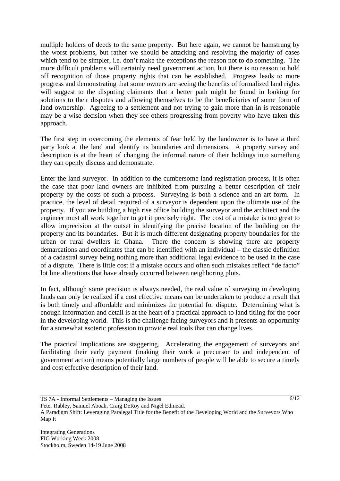multiple holders of deeds to the same property. But here again, we cannot be hamstrung by the worst problems, but rather we should be attacking and resolving the majority of cases which tend to be simpler, i.e. don't make the exceptions the reason not to do something. The more difficult problems will certainly need government action, but there is no reason to hold off recognition of those property rights that can be established. Progress leads to more progress and demonstrating that some owners are seeing the benefits of formalized land rights will suggest to the disputing claimants that a better path might be found in looking for solutions to their disputes and allowing themselves to be the beneficiaries of some form of land ownership. Agreeing to a settlement and not trying to gain more than in is reasonable may be a wise decision when they see others progressing from poverty who have taken this approach.

The first step in overcoming the elements of fear held by the landowner is to have a third party look at the land and identify its boundaries and dimensions. A property survey and description is at the heart of changing the informal nature of their holdings into something they can openly discuss and demonstrate.

Enter the land surveyor. In addition to the cumbersome land registration process, it is often the case that poor land owners are inhibited from pursuing a better description of their property by the costs of such a process. Surveying is both a science and an art form. In practice, the level of detail required of a surveyor is dependent upon the ultimate use of the property. If you are building a high rise office building the surveyor and the architect and the engineer must all work together to get it precisely right. The cost of a mistake is too great to allow imprecision at the outset in identifying the precise location of the building on the property and its boundaries. But it is much different designating property boundaries for the urban or rural dwellers in Ghana. There the concern is showing there are property demarcations and coordinates that can be identified with an individual – the classic definition of a cadastral survey being nothing more than additional legal evidence to be used in the case of a dispute. There is little cost if a mistake occurs and often such mistakes reflect "de facto" lot line alterations that have already occurred between neighboring plots.

In fact, although some precision is always needed, the real value of surveying in developing lands can only be realized if a cost effective means can be undertaken to produce a result that is both timely and affordable and minimizes the potential for dispute. Determining what is enough information and detail is at the heart of a practical approach to land titling for the poor in the developing world. This is the challenge facing surveyors and it presents an opportunity for a somewhat esoteric profession to provide real tools that can change lives.

The practical implications are staggering. Accelerating the engagement of surveyors and facilitating their early payment (making their work a precursor to and independent of government action) means potentially large numbers of people will be able to secure a timely and cost effective description of their land.

TS 7A - Informal Settlements – Managing the Issues

Peter Rabley, Samuel Aboah, Craig DeRoy and Nigel Edmead.

A Paradigm Shift: Leveraging Paralegal Title for the Benefit of the Developing World and the Surveyors Who Map It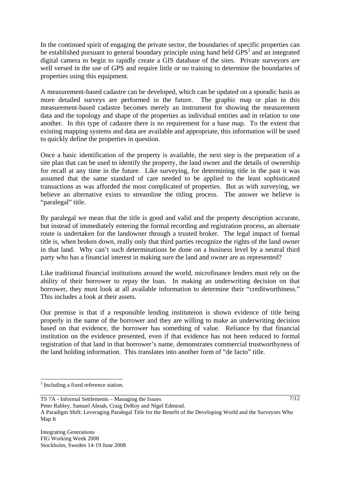In the continued spirit of engaging the private sector, the boundaries of specific properties can be established pursuant to general boundary principle using hand held  $GPS<sup>2</sup>$  and an integrated digital camera to begin to rapidly create a GIS database of the sites. Private surveyors are well versed in the use of GPS and require little or no training to determine the boundaries of properties using this equipment.

A measurement-based cadastre can be developed, which can be updated on a sporadic basis as more detailed surveys are performed in the future. The graphic map or plan in this measurement-based cadastre becomes merely an instrument for showing the measurement data and the topology and shape of the properties as individual entities and in relation to one another. In this type of cadastre there is no requirement for a base map. To the extent that existing mapping systems and data are available and appropriate, this information will be used to quickly define the properties in question.

Once a basic identification of the property is available, the next step is the preparation of a site plan that can be used to identify the property, the land owner and the details of ownership for recall at any time in the future. Like surveying, for determining title in the past it was assumed that the same standard of care needed to be applied to the least sophisticated transactions as was afforded the most complicated of properties. But as with surveying, we believe an alternative exists to streamline the titling process. The answer we believe is "paralegal" title.

By paralegal we mean that the title is good and valid and the property description accurate, but instead of immediately entering the formal recording and registration process, an alternate route is undertaken for the landowner through a trusted broker. The legal impact of formal title is, when broken down, really only that third parties recognize the rights of the land owner in that land. Why can't such determinations be done on a business level by a neutral third party who has a financial interest in making sure the land and owner are as represented?

Like traditional financial institutions around the world, microfinance lenders must rely on the ability of their borrower to repay the loan. In making an underwriting decision on that borrower, they must look at all available information to determine their "creditworthiness." This includes a look at their assets.

Our premise is that if a responsible lending instituteion is shown evidence of title being properly in the name of the borrower and they are willing to make an underwriting decision based on that evidence, the borrower has something of value. Reliance by that financial institution on the evidence presented, even if that evidence has not been reduced to formal registration of that land in that borrower's name, demonstrates commercial trustworthyness of the land holding information. This translates into another form of "de facto" title.

 $\overline{a}$ 

<sup>&</sup>lt;sup>2</sup> Including a fixed reference station.

TS 7A - Informal Settlements – Managing the Issues

Peter Rabley, Samuel Aboah, Craig DeRoy and Nigel Edmead.

A Paradigm Shift: Leveraging Paralegal Title for the Benefit of the Developing World and the Surveyors Who Map It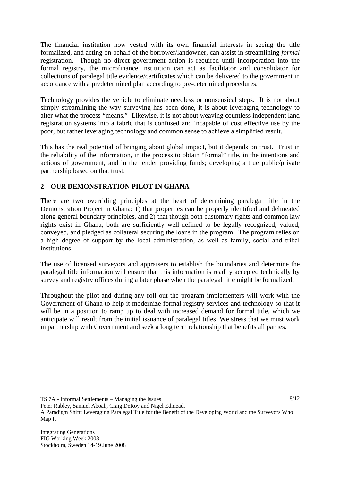The financial institution now vested with its own financial interests in seeing the title formalized, and acting on behalf of the borrower/landowner, can assist in streamlining *formal*  registration. Though no direct government action is required until incorporation into the formal registry, the microfinance institution can act as facilitator and consolidator for collections of paralegal title evidence/certificates which can be delivered to the government in accordance with a predetermined plan according to pre-determined procedures.

Technology provides the vehicle to eliminate needless or nonsensical steps. It is not about simply streamlining the way surveying has been done, it is about leveraging technology to alter what the process "means." Likewise, it is not about weaving countless independent land registration systems into a fabric that is confused and incapable of cost effective use by the poor, but rather leveraging technology and common sense to achieve a simplified result.

This has the real potential of bringing about global impact, but it depends on trust. Trust in the reliability of the information, in the process to obtain "formal" title, in the intentions and actions of government, and in the lender providing funds; developing a true public/private partnership based on that trust.

# **2 OUR DEMONSTRATION PILOT IN GHANA**

There are two overriding principles at the heart of determining paralegal title in the Demonstration Project in Ghana: 1) that properties can be properly identified and delineated along general boundary principles, and 2) that though both customary rights and common law rights exist in Ghana, both are sufficiently well-defined to be legally recognized, valued, conveyed, and pledged as collateral securing the loans in the program. The program relies on a high degree of support by the local administration, as well as family, social and tribal institutions.

The use of licensed surveyors and appraisers to establish the boundaries and determine the paralegal title information will ensure that this information is readily accepted technically by survey and registry offices during a later phase when the paralegal title might be formalized.

Throughout the pilot and during any roll out the program implementers will work with the Government of Ghana to help it modernize formal registry services and technology so that it will be in a position to ramp up to deal with increased demand for formal title, which we anticipate will result from the initial issuance of paralegal titles. We stress that we must work in partnership with Government and seek a long term relationship that benefits all parties.

Peter Rabley, Samuel Aboah, Craig DeRoy and Nigel Edmead.

A Paradigm Shift: Leveraging Paralegal Title for the Benefit of the Developing World and the Surveyors Who Map It

TS 7A - Informal Settlements – Managing the Issues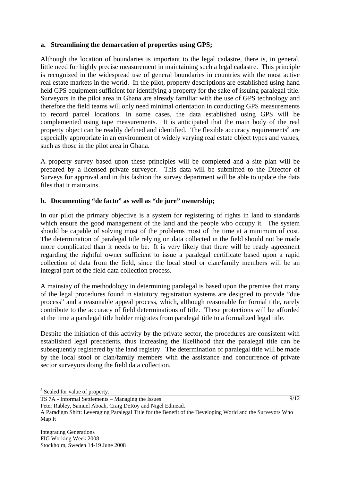#### **a. Streamlining the demarcation of properties using GPS;**

Although the location of boundaries is important to the legal cadastre, there is, in general, little need for highly precise measurement in maintaining such a legal cadastre. This principle is recognized in the widespread use of general boundaries in countries with the most active real estate markets in the world. In the pilot, property descriptions are established using hand held GPS equipment sufficient for identifying a property for the sake of issuing paralegal title. Surveyors in the pilot area in Ghana are already familiar with the use of GPS technology and therefore the field teams will only need minimal orientation in conducting GPS measurements to record parcel locations. In some cases, the data established using GPS will be complemented using tape measurements. It is anticipated that the main body of the real property object can be readily defined and identified. The flexible accuracy requirements<sup>3</sup> are especially appropriate in an environment of widely varying real estate object types and values, such as those in the pilot area in Ghana.

A property survey based upon these principles will be completed and a site plan will be prepared by a licensed private surveyor. This data will be submitted to the Director of Surveys for approval and in this fashion the survey department will be able to update the data files that it maintains.

#### **b. Documenting "de facto" as well as "de jure" ownership;**

In our pilot the primary objective is a system for registering of rights in land to standards which ensure the good management of the land and the people who occupy it. The system should be capable of solving most of the problems most of the time at a minimum of cost. The determination of paralegal title relying on data collected in the field should not be made more complicated than it needs to be. It is very likely that there will be ready agreement regarding the rightful owner sufficient to issue a paralegal certificate based upon a rapid collection of data from the field, since the local stool or clan/family members will be an integral part of the field data collection process.

A mainstay of the methodology in determining paralegal is based upon the premise that many of the legal procedures found in statutory registration systems are designed to provide "due process" and a reasonable appeal process, which, although reasonable for formal title, rarely contribute to the accuracy of field determinations of title. These protections will be afforded at the time a paralegal title holder migrates from paralegal title to a formalized legal title.

Despite the initiation of this activity by the private sector, the procedures are consistent with established legal precedents, thus increasing the likelihood that the paralegal title can be subsequently registered by the land registry. The determination of paralegal title will be made by the local stool or clan/family members with the assistance and concurrence of private sector surveyors doing the field data collection.

 $\overline{a}$ 

<sup>&</sup>lt;sup>3</sup> Scaled for value of property.

TS 7A - Informal Settlements – Managing the Issues

Peter Rabley, Samuel Aboah, Craig DeRoy and Nigel Edmead.

A Paradigm Shift: Leveraging Paralegal Title for the Benefit of the Developing World and the Surveyors Who Map It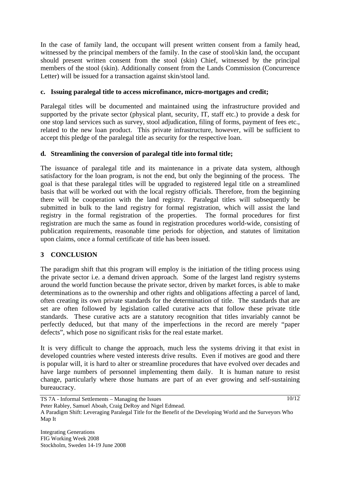In the case of family land, the occupant will present written consent from a family head, witnessed by the principal members of the family. In the case of stool/skin land, the occupant should present written consent from the stool (skin) Chief, witnessed by the principal members of the stool (skin). Additionally consent from the Lands Commission (Concurrence Letter) will be issued for a transaction against skin/stool land.

### **c. Issuing paralegal title to access microfinance, micro-mortgages and credit;**

Paralegal titles will be documented and maintained using the infrastructure provided and supported by the private sector (physical plant, security, IT, staff etc.) to provide a desk for one stop land services such as survey, stool adjudication, filing of forms, payment of fees etc., related to the new loan product. This private infrastructure, however, will be sufficient to accept this pledge of the paralegal title as security for the respective loan.

## **d. Streamlining the conversion of paralegal title into formal title;**

The issuance of paralegal title and its maintenance in a private data system, although satisfactory for the loan program, is not the end, but only the beginning of the process. The goal is that these paralegal titles will be upgraded to registered legal title on a streamlined basis that will be worked out with the local registry officials. Therefore, from the beginning there will be cooperation with the land registry. Paralegal titles will subsequently be submitted in bulk to the land registry for formal registration, which will assist the land registry in the formal registration of the properties. The formal procedures for first registration are much the same as found in registration procedures world-wide, consisting of publication requirements, reasonable time periods for objection, and statutes of limitation upon claims, once a formal certificate of title has been issued.

## **3 CONCLUSION**

The paradigm shift that this program will employ is the initiation of the titling process using the private sector i.e. a demand driven approach. Some of the largest land registry systems around the world function because the private sector, driven by market forces, is able to make determinations as to the ownership and other rights and obligations affecting a parcel of land, often creating its own private standards for the determination of title. The standards that are set are often followed by legislation called curative acts that follow these private title standards. These curative acts are a statutory recognition that titles invariably cannot be perfectly deduced, but that many of the imperfections in the record are merely "paper defects", which pose no significant risks for the real estate market.

It is very difficult to change the approach, much less the systems driving it that exist in developed countries where vested interests drive results. Even if motives are good and there is popular will, it is hard to alter or streamline procedures that have evolved over decades and have large numbers of personnel implementing them daily. It is human nature to resist change, particularly where those humans are part of an ever growing and self-sustaining bureaucracy.

 $\sqrt{10/12}$ 

TS 7A - Informal Settlements – Managing the Issues

Peter Rabley, Samuel Aboah, Craig DeRoy and Nigel Edmead.

A Paradigm Shift: Leveraging Paralegal Title for the Benefit of the Developing World and the Surveyors Who Map It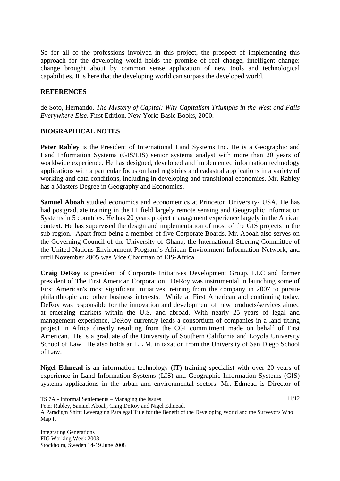So for all of the professions involved in this project, the prospect of implementing this approach for the developing world holds the promise of real change, intelligent change; change brought about by common sense application of new tools and technological capabilities. It is here that the developing world can surpass the developed world.

#### **REFERENCES**

de Soto, Hernando. *The Mystery of Capital: Why Capitalism Triumphs in the West and Fails Everywhere Else*. First Edition. New York: Basic Books, 2000.

#### **BIOGRAPHICAL NOTES**

**Peter Rabley** is the President of International Land Systems Inc. He is a Geographic and Land Information Systems (GIS/LIS) senior systems analyst with more than 20 years of worldwide experience. He has designed, developed and implemented information technology applications with a particular focus on land registries and cadastral applications in a variety of working and data conditions, including in developing and transitional economies. Mr. Rabley has a Masters Degree in Geography and Economics.

**Samuel Aboah** studied economics and econometrics at Princeton University- USA. He has had postgraduate training in the IT field largely remote sensing and Geographic Information Systems in 5 countries. He has 20 years project management experience largely in the African context. He has supervised the design and implementation of most of the GIS projects in the sub-region. Apart from being a member of five Corporate Boards, Mr. Aboah also serves on the Governing Council of the University of Ghana, the International Steering Committee of the United Nations Environment Program's African Environment Information Network, and until November 2005 was Vice Chairman of EIS-Africa.

**Craig DeRoy** is president of Corporate Initiatives Development Group, LLC and former president of The First American Corporation. DeRoy was instrumental in launching some of First American's most significant initiatives, retiring from the company in 2007 to pursue philanthropic and other business interests. While at First American and continuing today, DeRoy was responsible for the innovation and development of new products/services aimed at emerging markets within the U.S. and abroad. With nearly 25 years of legal and management experience, DeRoy currently leads a consortium of companies in a land titling project in Africa directly resulting from the CGI commitment made on behalf of First American. He is a graduate of the University of Southern California and Loyola University School of Law. He also holds an LL.M. in taxation from the University of San Diego School of Law.

**Nigel Edmead** is an information technology (IT) training specialist with over 20 years of experience in Land Information Systems (LIS) and Geographic Information Systems (GIS) systems applications in the urban and environmental sectors. Mr. Edmead is Director of

TS 7A - Informal Settlements – Managing the Issues

Peter Rabley, Samuel Aboah, Craig DeRoy and Nigel Edmead.

A Paradigm Shift: Leveraging Paralegal Title for the Benefit of the Developing World and the Surveyors Who Map It